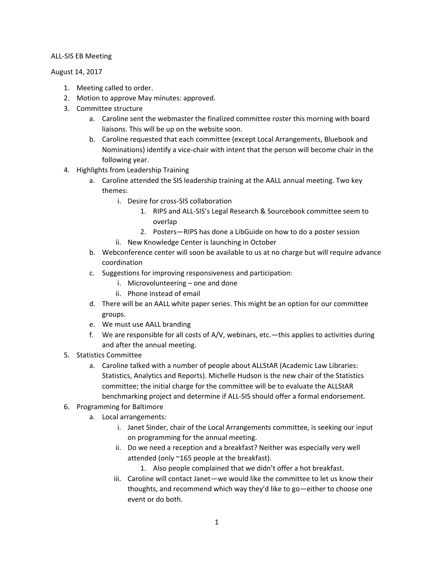## ALL-SIS EB Meeting

## August 14, 2017

- 1. Meeting called to order.
- 2. Motion to approve May minutes: approved.
- 3. Committee structure
	- a. Caroline sent the webmaster the finalized committee roster this morning with board liaisons. This will be up on the website soon.
	- b. Caroline requested that each committee (except Local Arrangements, Bluebook and Nominations) identify a vice-chair with intent that the person will become chair in the following year.
- 4. Highlights from Leadership Training
	- a. Caroline attended the SIS leadership training at the AALL annual meeting. Two key themes:
		- i. Desire for cross-SIS collaboration
			- 1. RIPS and ALL-SIS's Legal Research & Sourcebook committee seem to overlap
			- 2. Posters—RIPS has done a LibGuide on how to do a poster session
		- ii. New Knowledge Center is launching in October
	- b. Webconference center will soon be available to us at no charge but will require advance coordination
	- c. Suggestions for improving responsiveness and participation:
		- i. Microvolunteering one and done
		- ii. Phone instead of email
	- d. There will be an AALL white paper series. This might be an option for our committee groups.
	- e. We must use AALL branding
	- f. We are responsible for all costs of A/V, webinars, etc.—this applies to activities during and after the annual meeting.
- 5. Statistics Committee
	- a. Caroline talked with a number of people about ALLStAR (Academic Law Libraries: Statistics, Analytics and Reports). Michelle Hudson is the new chair of the Statistics committee; the initial charge for the committee will be to evaluate the ALLStAR benchmarking project and determine if ALL-SIS should offer a formal endorsement.
- 6. Programming for Baltimore
	- a. Local arrangements:
		- i. Janet Sinder, chair of the Local Arrangements committee, is seeking our input on programming for the annual meeting.
		- ii. Do we need a reception and a breakfast? Neither was especially very well attended (only ~165 people at the breakfast).
			- 1. Also people complained that we didn't offer a hot breakfast.
		- iii. Caroline will contact Janet—we would like the committee to let us know their thoughts, and recommend which way they'd like to go—either to choose one event or do both.